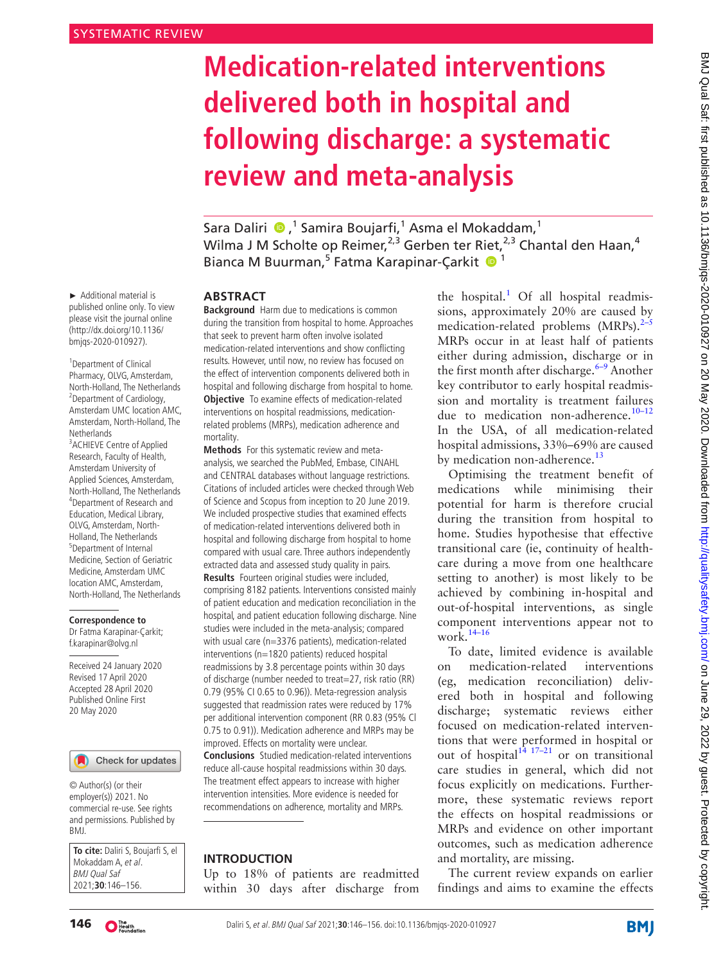# **Medication-related interventions delivered both in hospital and following discharge: a systematic review and meta-analysis**

SaraDaliri ��,<sup>1</sup> Samira Boujarfi,<sup>1</sup> Asma el Mokaddam,<sup>1</sup> Wilma J M Scholte op Reimer,<sup>2,3</sup> Gerben ter Riet,<sup>2,3</sup> Chantal den Haan,<sup>4</sup> Bianca M Buurman,<sup>5</sup> Fatma Karapinar-Çarkit <sup>1</sup>

#### **Abstract**

**Background** Harm due to medications is common during the transition from hospital to home. Approaches that seek to prevent harm often involve isolated medication-related interventions and show conflicting results. However, until now, no review has focused on the effect of intervention components delivered both in hospital and following discharge from hospital to home. **Objective** To examine effects of medication-related interventions on hospital readmissions, medicationrelated problems (MRPs), medication adherence and mortality.

**Methods** For this systematic review and metaanalysis, we searched the PubMed, Embase, CINAHL and CENTRAL databases without language restrictions. Citations of included articles were checked through Web of Science and Scopus from inception to 20 June 2019. We included prospective studies that examined effects of medication-related interventions delivered both in hospital and following discharge from hospital to home compared with usual care. Three authors independently extracted data and assessed study quality in pairs. **Results** Fourteen original studies were included, comprising 8182 patients. Interventions consisted mainly of patient education and medication reconciliation in the hospital, and patient education following discharge. Nine studies were included in the meta-analysis; compared with usual care (n=3376 patients), medication-related interventions (n=1820 patients) reduced hospital readmissions by 3.8 percentage points within 30 days of discharge (number needed to treat=27, risk ratio (RR) 0.79 (95% CI 0.65 to 0.96)). Meta-regression analysis suggested that readmission rates were reduced by 17% per additional intervention component (RR 0.83 (95% Cl 0.75 to 0.91)). Medication adherence and MRPs may be improved. Effects on mortality were unclear. **Conclusions** Studied medication-related interventions reduce all-cause hospital readmissions within 30 days. The treatment effect appears to increase with higher intervention intensities. More evidence is needed for recommendations on adherence, mortality and MRPs.

## **Introduction**

Up to 18% of patients are readmitted within 30 days after discharge from

the hospital.<sup>[1](#page-9-0)</sup> Of all hospital readmissions, approximately 20% are caused by medication-related problems  $(MRPs).^{2-5}$ MRPs occur in at least half of patients either during admission, discharge or in the first month after discharge. $6-9$  Another key contributor to early hospital readmission and mortality is treatment failures due to medication non-adherence. $10-12$ In the USA, of all medication-related hospital admissions, 33%–69% are caused by medication non-adherence.<sup>13</sup>

Optimising the treatment benefit of medications while minimising their potential for harm is therefore crucial during the transition from hospital to home. Studies hypothesise that effective transitional care (ie, continuity of healthcare during a move from one healthcare setting to another) is most likely to be achieved by combining in-hospital and out-of-hospital interventions, as single component interventions appear not to work.[14–16](#page-9-5)

To date, limited evidence is available on medication-related interventions (eg, medication reconciliation) delivered both in hospital and following discharge; systematic reviews either focused on medication-related interventions that were performed in hospital or out of hospital $1^{\frac{1}{4} \cdot 17 - 21}$  or on transitional care studies in general, which did not focus explicitly on medications. Furthermore, these systematic reviews report the effects on hospital readmissions or MRPs and evidence on other important outcomes, such as medication adherence and mortality, are missing.

The current review expands on earlier findings and aims to examine the effects

► Additional material is published online only. To view please visit the journal online (http://dx.doi.org/10.1136/ bmjqs-2020-010927).

1 Department of Clinical Pharmacy, OLVG, Amsterdam, North-Holland, The Netherlands 2 Department of Cardiology, Amsterdam UMC location AMC, Amsterdam, North-Holland, The **Netherlands** 

<sup>3</sup> ACHIEVE Centre of Applied Research, Faculty of Health, Amsterdam University of Applied Sciences, Amsterdam, North-Holland, The Netherlands 4 Department of Research and Education, Medical Library, OLVG, Amsterdam, North-Holland, The Netherlands 5 Department of Internal Medicine, Section of Geriatric Medicine, Amsterdam UMC location AMC, Amsterdam, North-Holland, The Netherlands

## **Correspondence to**

Dr Fatma Karapinar-Çarkit; f.karapinar@olvg.nl

Received 24 January 2020 Revised 17 April 2020 Accepted 28 April 2020 Published Online First 20 May 2020



## Check for updates

© Author(s) (or their employer(s)) 2021. No commercial re-use. See rights and permissions. Published by BMJ.

**To cite:** Daliri S, Boujarfi S, el Mokaddam A, et al. BMJ Qual Saf 2021;**30**:146–156.

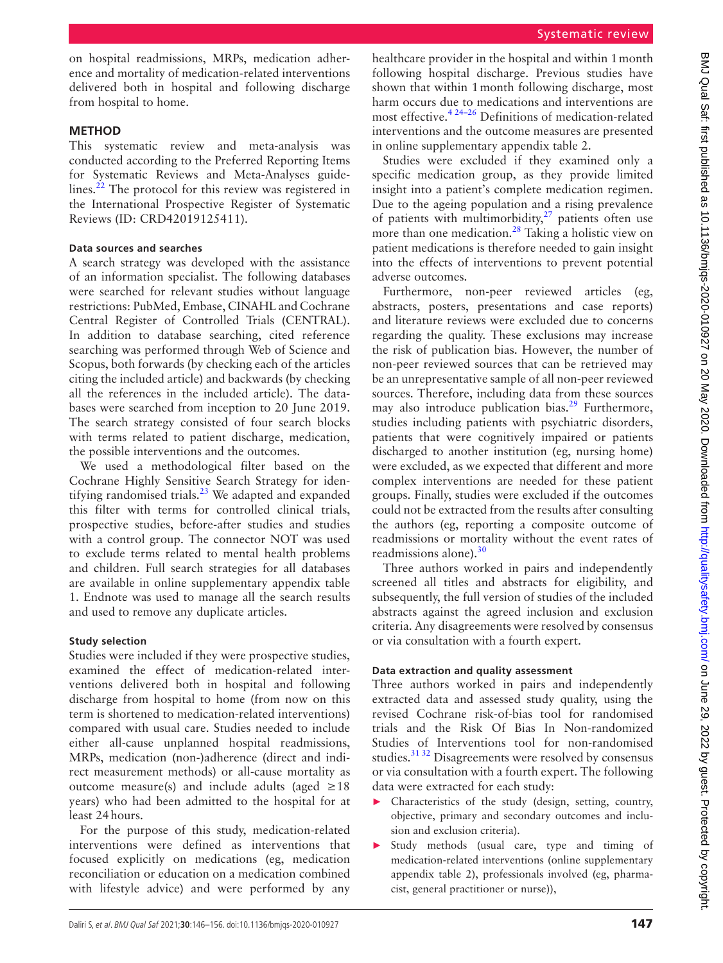on hospital readmissions, MRPs, medication adherence and mortality of medication-related interventions delivered both in hospital and following discharge from hospital to home.

# **Method**

This systematic review and meta-analysis was conducted according to the Preferred Reporting Items for Systematic Reviews and Meta-Analyses guidelines. $^{22}$  The protocol for this review was registered in the International Prospective Register of Systematic Reviews (ID: CRD42019125411).

## **Data sources and searches**

A search strategy was developed with the assistance of an information specialist. The following databases were searched for relevant studies without language restrictions: PubMed, Embase, CINAHL and Cochrane Central Register of Controlled Trials (CENTRAL). In addition to database searching, cited reference searching was performed through Web of Science and Scopus, both forwards (by checking each of the articles citing the included article) and backwards (by checking all the references in the included article). The databases were searched from inception to 20 June 2019. The search strategy consisted of four search blocks with terms related to patient discharge, medication, the possible interventions and the outcomes.

We used a methodological filter based on the Cochrane Highly Sensitive Search Strategy for identifying randomised trials.<sup>23</sup> We adapted and expanded this filter with terms for controlled clinical trials, prospective studies, before-after studies and studies with a control group. The connector NOT was used to exclude terms related to mental health problems and children. Full search strategies for all databases are available in [online supplementary appendix table](https://dx.doi.org/10.1136/bmjqs-2020-010927)  [1.](https://dx.doi.org/10.1136/bmjqs-2020-010927) Endnote was used to manage all the search results and used to remove any duplicate articles.

# **Study selection**

Studies were included if they were prospective studies, examined the effect of medication-related interventions delivered both in hospital and following discharge from hospital to home (from now on this term is shortened to medication-related interventions) compared with usual care. Studies needed to include either all-cause unplanned hospital readmissions, MRPs, medication (non-)adherence (direct and indirect measurement methods) or all-cause mortality as outcome measure(s) and include adults (aged  $\geq 18$ years) who had been admitted to the hospital for at least 24hours.

For the purpose of this study, medication-related interventions were defined as interventions that focused explicitly on medications (eg, medication reconciliation or education on a medication combined with lifestyle advice) and were performed by any

healthcare provider in the hospital and within 1month following hospital discharge. Previous studies have shown that within 1month following discharge, most harm occurs due to medications and interventions are most effective[.4 24–26](#page-9-8) Definitions of medication-related interventions and the outcome measures are presented in [online supplementary appendix table 2.](https://dx.doi.org/10.1136/bmjqs-2020-010927)

Studies were excluded if they examined only a specific medication group, as they provide limited insight into a patient's complete medication regimen. Due to the ageing population and a rising prevalence of patients with multimorbidity, $27$  patients often use more than one medication.<sup>28</sup> Taking a holistic view on patient medications is therefore needed to gain insight into the effects of interventions to prevent potential adverse outcomes.

Furthermore, non-peer reviewed articles (eg, abstracts, posters, presentations and case reports) and literature reviews were excluded due to concerns regarding the quality. These exclusions may increase the risk of publication bias. However, the number of non-peer reviewed sources that can be retrieved may be an unrepresentative sample of all non-peer reviewed sources. Therefore, including data from these sources may also introduce publication bias.<sup>[29](#page-10-2)</sup> Furthermore, studies including patients with psychiatric disorders, patients that were cognitively impaired or patients discharged to another institution (eg, nursing home) were excluded, as we expected that different and more complex interventions are needed for these patient groups. Finally, studies were excluded if the outcomes could not be extracted from the results after consulting the authors (eg, reporting a composite outcome of readmissions or mortality without the event rates of readmissions alone).<sup>[30](#page-10-3)</sup>

Three authors worked in pairs and independently screened all titles and abstracts for eligibility, and subsequently, the full version of studies of the included abstracts against the agreed inclusion and exclusion criteria. Any disagreements were resolved by consensus or via consultation with a fourth expert.

## **Data extraction and quality assessment**

Three authors worked in pairs and independently extracted data and assessed study quality, using the revised Cochrane risk-of-bias tool for randomised trials and the Risk Of Bias In Non-randomized Studies of Interventions tool for non-randomised studies.<sup>31 32</sup> Disagreements were resolved by consensus or via consultation with a fourth expert. The following data were extracted for each study:

- ► Characteristics of the study (design, setting, country, objective, primary and secondary outcomes and inclusion and exclusion criteria).
- ► Study methods (usual care, type and timing of medication-related interventions [\(online supplementary](https://dx.doi.org/10.1136/bmjqs-2020-010927) [appendix table 2\)](https://dx.doi.org/10.1136/bmjqs-2020-010927), professionals involved (eg, pharmacist, general practitioner or nurse)),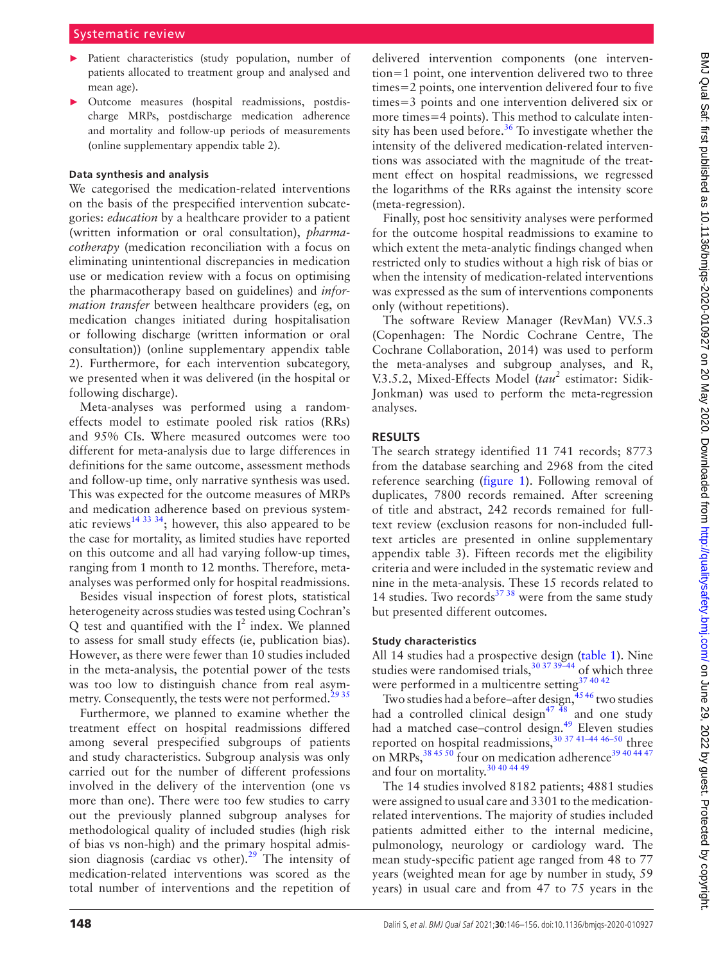- ► Patient characteristics (study population, number of patients allocated to treatment group and analysed and mean age).
- ► Outcome measures (hospital readmissions, postdischarge MRPs, postdischarge medication adherence and mortality and follow-up periods of measurements [\(online supplementary appendix table 2\)](https://dx.doi.org/10.1136/bmjqs-2020-010927).

#### **Data synthesis and analysis**

We categorised the medication-related interventions on the basis of the prespecified intervention subcategories: *education* by a healthcare provider to a patient (written information or oral consultation), *pharmacotherapy* (medication reconciliation with a focus on eliminating unintentional discrepancies in medication use or medication review with a focus on optimising the pharmacotherapy based on guidelines) and *information transfer* between healthcare providers (eg, on medication changes initiated during hospitalisation or following discharge (written information or oral consultation)) [\(online supplementary appendix table](https://dx.doi.org/10.1136/bmjqs-2020-010927)  [2\)](https://dx.doi.org/10.1136/bmjqs-2020-010927). Furthermore, for each intervention subcategory, we presented when it was delivered (in the hospital or following discharge).

Meta-analyses was performed using a randomeffects model to estimate pooled risk ratios (RRs) and 95% CIs. Where measured outcomes were too different for meta-analysis due to large differences in definitions for the same outcome, assessment methods and follow-up time, only narrative synthesis was used. This was expected for the outcome measures of MRPs and medication adherence based on previous systematic reviews<sup>14 33 34</sup>; however, this also appeared to be the case for mortality, as limited studies have reported on this outcome and all had varying follow-up times, ranging from 1 month to 12 months. Therefore, metaanalyses was performed only for hospital readmissions.

Besides visual inspection of forest plots, statistical heterogeneity across studies was tested using Cochran's  $Q$  test and quantified with the  $I^2$  index. We planned to assess for small study effects (ie, publication bias). However, as there were fewer than 10 studies included in the meta-analysis, the potential power of the tests was too low to distinguish chance from real asymmetry. Consequently, the tests were not performed.<sup>2935</sup>

Furthermore, we planned to examine whether the treatment effect on hospital readmissions differed among several prespecified subgroups of patients and study characteristics. Subgroup analysis was only carried out for the number of different professions involved in the delivery of the intervention (one vs more than one). There were too few studies to carry out the previously planned subgroup analyses for methodological quality of included studies (high risk of bias vs non-high) and the primary hospital admission diagnosis (cardiac vs other).<sup>29</sup> The intensity of medication-related interventions was scored as the total number of interventions and the repetition of delivered intervention components (one intervention=1 point, one intervention delivered two to three times=2 points, one intervention delivered four to five times=3 points and one intervention delivered six or more times=4 points). This method to calculate intensity has been used before.<sup>36</sup> To investigate whether the intensity of the delivered medication-related interventions was associated with the magnitude of the treatment effect on hospital readmissions, we regressed the logarithms of the RRs against the intensity score (meta-regression).

Finally, post hoc sensitivity analyses were performed for the outcome hospital readmissions to examine to which extent the meta-analytic findings changed when restricted only to studies without a high risk of bias or when the intensity of medication-related interventions was expressed as the sum of interventions components only (without repetitions).

The software Review Manager (RevMan) VV.5.3 (Copenhagen: The Nordic Cochrane Centre, The Cochrane Collaboration, 2014) was used to perform the meta-analyses and subgroup analyses, and R, V.3.5.2, Mixed-Effects Model (*tau<sup>2</sup>* estimator: Sidik-Jonkman) was used to perform the meta-regression analyses.

## **Results**

The search strategy identified 11 741 records; 8773 from the database searching and 2968 from the cited reference searching [\(figure](#page-3-0) 1). Following removal of duplicates, 7800 records remained. After screening of title and abstract, 242 records remained for fulltext review (exclusion reasons for non-included fulltext articles are presented in [online supplementary](https://dx.doi.org/10.1136/bmjqs-2020-010927) [appendix table 3\)](https://dx.doi.org/10.1136/bmjqs-2020-010927). Fifteen records met the eligibility criteria and were included in the systematic review and nine in the meta-analysis. These 15 records related to 14 studies. Two records $^{37}$  38 were from the same study but presented different outcomes.

## **Study characteristics**

All 14 studies had a prospective design [\(table](#page-4-0) 1). Nine studies were randomised trials, $30\frac{37}{39-44}$  of which three were performed in a multicentre setting<sup>[37 40 42](#page-10-6)</sup>

Two studies had a before–after design, $4546$  two studies had a controlled clinical design $^{47}$   $^{48}$  and one study had a matched case-control design.<sup>49</sup> Eleven studies reported on hospital readmissions,<sup>[30 37 41–44 46–50](#page-10-3)</sup> three on MRPs,  $38\frac{45\frac{50}{6}}{60}$  four on medication adherence  $39\frac{40\frac{44\frac{47}{6}}{60}}{60}$ and four on mortality.[30 40 44 49](#page-10-3)

The 14 studies involved 8182 patients; 4881 studies were assigned to usual care and 3301 to the medicationrelated interventions. The majority of studies included patients admitted either to the internal medicine, pulmonology, neurology or cardiology ward. The mean study-specific patient age ranged from 48 to 77 years (weighted mean for age by number in study, 59 years) in usual care and from 47 to 75 years in the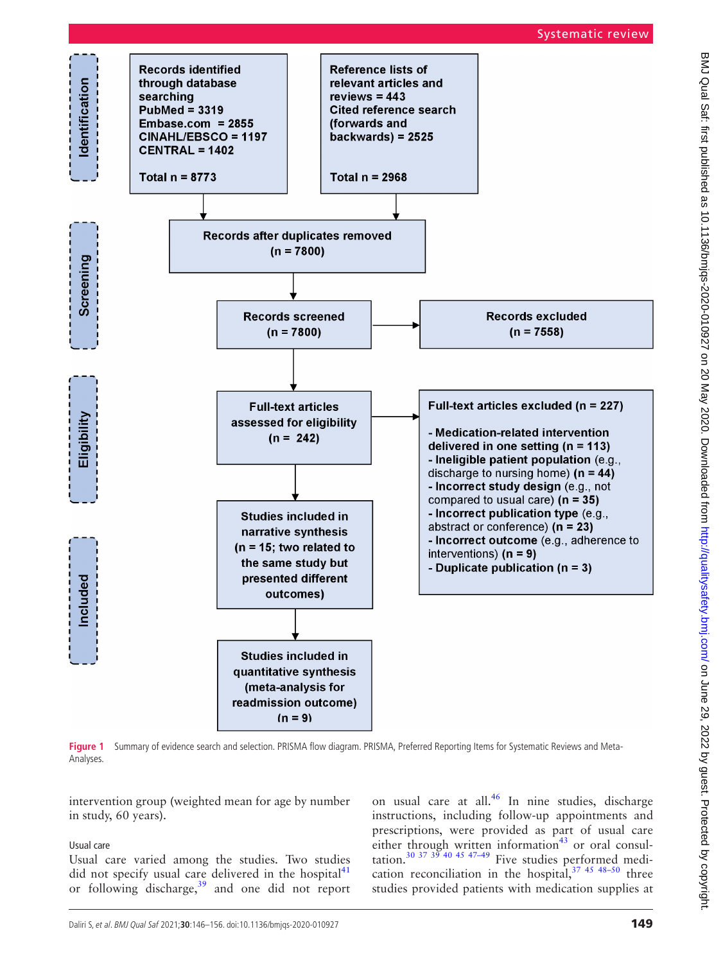## Systematic review



<span id="page-3-0"></span>Figure 1 Summary of evidence search and selection. PRISMA flow diagram. PRISMA, Preferred Reporting Items for Systematic Reviews and Meta-Analyses.

intervention group (weighted mean for age by number in study, 60 years).

## Usual care

Usual care varied among the studies. Two studies did not specify usual care delivered in the hospital $41$ or following discharge, $39$  and one did not report

on usual care at all. $^{46}$  $^{46}$  $^{46}$  In nine studies, discharge instructions, including follow-up appointments and prescriptions, were provided as part of usual care either through written information $43$  or oral consultation.<sup>30 37 39</sup> <sup>40 45 47-49</sup> Five studies performed medication reconciliation in the hospital,  $37 \times 45 \times 50$  three studies provided patients with medication supplies at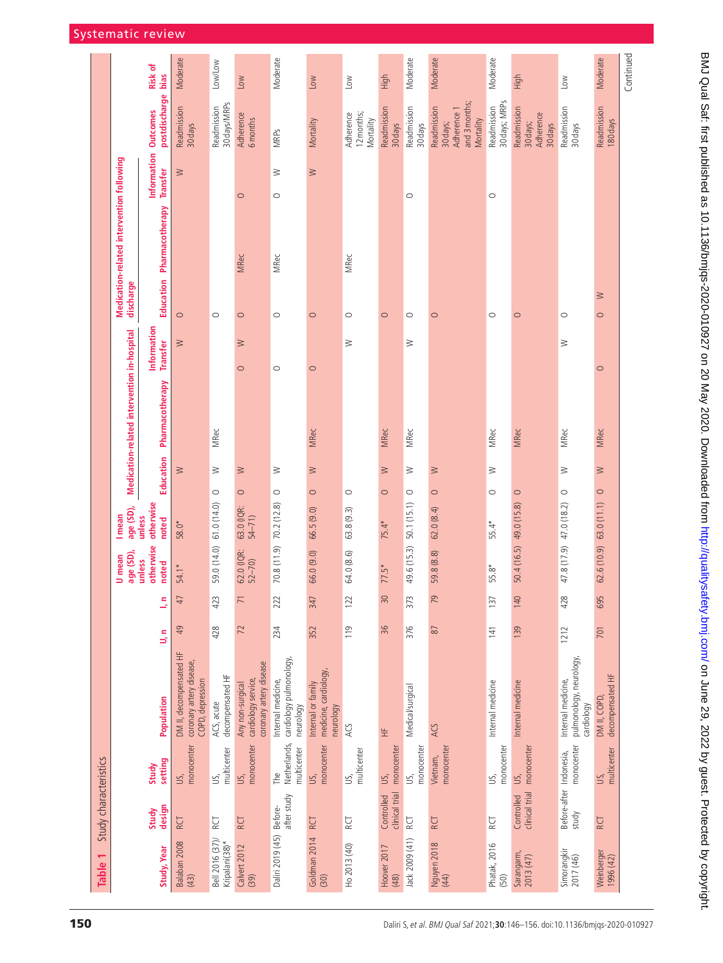<span id="page-4-0"></span>

| Table 1                           | Study characteristics            |                                    |                                                                         |      |                |                              |                                 |                   |                                             |                                |                   |                                           |                                |                                                                      |                 |
|-----------------------------------|----------------------------------|------------------------------------|-------------------------------------------------------------------------|------|----------------|------------------------------|---------------------------------|-------------------|---------------------------------------------|--------------------------------|-------------------|-------------------------------------------|--------------------------------|----------------------------------------------------------------------|-----------------|
|                                   |                                  |                                    |                                                                         |      |                | age (SD),<br>U mean          | age (SD),<br>I mean             |                   | Medication-related intervention in-hospital |                                | discharge         | Medication-related intervention following |                                |                                                                      |                 |
| Study, Year                       | design<br>Study                  | setting<br>Study                   | Population                                                              | ۹J   | Б,             | otherwise<br>unless<br>noted | otherwise<br>unless<br>noted    | Education         | Pharmacotherapy                             | Information<br><b>Transfer</b> |                   | Education Pharmacotherapy                 | Information<br><b>Transfer</b> | postdischarge<br><b>Outcomes</b>                                     | Risk of<br>bias |
| Balaban 2008<br>(43)              | <b>RCT</b>                       | monocenter<br>US,                  | DM II, decompensated HF<br>coronary artery disease,<br>COPD, depression | 49   | 47             | 54.1*                        | 58.0*                           | $\geq$            |                                             | $\geq$                         | $\circ$           |                                           | $\geq$                         | Readmission<br>30 days                                               | Moderate        |
| Bell 2016 (37)/<br>Kripalani(38)* | RCT                              | multicenter<br>US,                 | decompensated HF<br>ACS, acute                                          | 428  | 423            | 59.0 (14.0)                  | $\circ$<br>61.0(14.0)           | ≧                 | <b>MRec</b>                                 |                                | $\circ$           |                                           |                                | 30 days/MRPs<br>Readmission                                          | Low/Low         |
| Calvert 2012<br>(39)              | RCT                              | monocenter<br>US,                  | coronary artery disease<br>cardiology service,<br>Any non-surgical      | 72   | $\overline{7}$ | 62.0 (IQR:<br>$52 - 70$      | $\circ$<br>63.0 (IQR:<br>54–71) | ≧                 |                                             | ≧<br>$\circ$                   | $\circ$           | <b>MRec</b>                               | $\circ$                        | Adherence<br>6 months                                                | NQ              |
| Daliri 2019 (45) Before-          | after study                      | Netherlands,<br>multicenter<br>The | cardiology pulmonology.<br>Internal medicine,<br>neurology              | 234  | 222            | 70.8 (11.9) 70.2 (12.8)      | $\circ$                         | ≧                 |                                             | $\circ$                        | $\circ$           | <b>MRec</b>                               | ≧<br>$\circ$                   | <b>MRPs</b>                                                          | Moderate        |
| Goldman 2014<br>(30)              | <b>RCT</b>                       | monocenter<br>US,                  | medicine, cardiology,<br>Internal or family<br>neurology                | 352  | 347            | 66.0(9.0)                    | $\circ$<br>66.5(9.0)            | $\geq$            | <b>MRec</b>                                 | $\circ$                        | $\circ$           |                                           | $\geq$                         | Mortality                                                            | <b>NOT</b>      |
| Ho 2013 (40)                      | RCT                              | multicenter<br>US,                 | ACS                                                                     | 119  | 122            | 64.0 (8.6)                   | $\circ$<br>63.8(9.3)            |                   |                                             | $\geq$                         | $\circ$           | <b>MRec</b>                               |                                | Adherence<br>12 months;<br>Mortality                                 | $\leq$          |
| Hoover 2017<br>(48)               | clinical trial<br>Controlled     | monocenter<br>US,                  | 生                                                                       | 36   | $30\,$         | $77.5*$                      | $75.4*$                         | $\geq$<br>$\circ$ | <b>MRec</b>                                 |                                | $\circ$           |                                           |                                | Readmission<br>30 days                                               | High            |
| Jack 2009 (41)                    | RCT                              | monocenter<br>US,                  | Medical/surgical                                                        | 376  | 373            | 49.6 (15.3) 50.1 (15.1)      | $\circ$                         | ≧                 | <b>MRec</b>                                 | ≧                              | $\circ$           |                                           | $\circ$                        | Readmission<br>30 days                                               | Moderate        |
| Nguyen 2018<br>(44)               | <b>RCT</b>                       | monocenter<br>Vietnam,             | ACS                                                                     | $87$ | 79             | 59.8 (8.8)                   | $\circ$<br>62.0(8.4)            | ≧                 |                                             |                                | $\circ$           |                                           |                                | and 3 months;<br>Readmission<br>Adherence 1<br>Mortality<br>30 days; | Moderate        |
| Phatak, 2016<br>(50)              | RCT                              | monocenter<br>US,                  | Internal medicine                                                       | 141  | 137            | 55.8*                        | $55.4*$                         | ≥<br>$\circ$      | <b>MRec</b>                                 |                                | $\circ$           |                                           | $\circ$                        | 30 days; MRPs<br>Readmission                                         | Moderate        |
| Sarangarm,<br>2013 (47)           | Controlled<br>clinical trial     | monocenter<br>US,                  | Internal medicine                                                       | 139  | 140            | 50.4 (16.5)                  | $\circ$<br>49.0 (15.8)          |                   | MRec                                        |                                | $\circ$           |                                           |                                | Readmission<br>Adherence<br>30 days;<br>30 days                      | High            |
| Simorangkir<br>2017 (46)          | Before-after Indonesia,<br>study | monocenter                         | pulmonology, neurology,<br>Internal medicine,<br>cardiology             | 1212 | 428            | 47.8 (17.9) 47.0 (18.2)      | $\circ$                         | ≧                 | <b>MRec</b>                                 | ≧                              | $\circ$           |                                           |                                | Readmission<br>30 days                                               | Low             |
| Weinberger<br>(1996(42))          | RCT                              | multicenter<br>US,                 | decompensated HF<br>DM II, COPD,                                        | 701  | 695            | 62.6(10.9) 63.0(11.1)        | $\circ$                         | $\geq$            | <b>MRec</b>                                 | $\circ$                        | $\geq$<br>$\circ$ |                                           |                                | Readmission<br>180 days                                              | Moderate        |
|                                   |                                  |                                    |                                                                         |      |                |                              |                                 |                   |                                             |                                |                   |                                           |                                |                                                                      | Continued       |

BMJ Qual Saf: first published as 10.1136/bmjqs-2020-010927 on 20 May 2020. Downloaded from http://qualitysafety.bmj.com/ on June 29, 2022 by guest. Protected by copyright. BMJ Qual Sat: first published as 10.1136/bmjqs-2020-010927 on 20 May 2020. Downloaded from <http://qualitysafety.bmj.com/> on June 29, 2022 by guest. Protected by copyright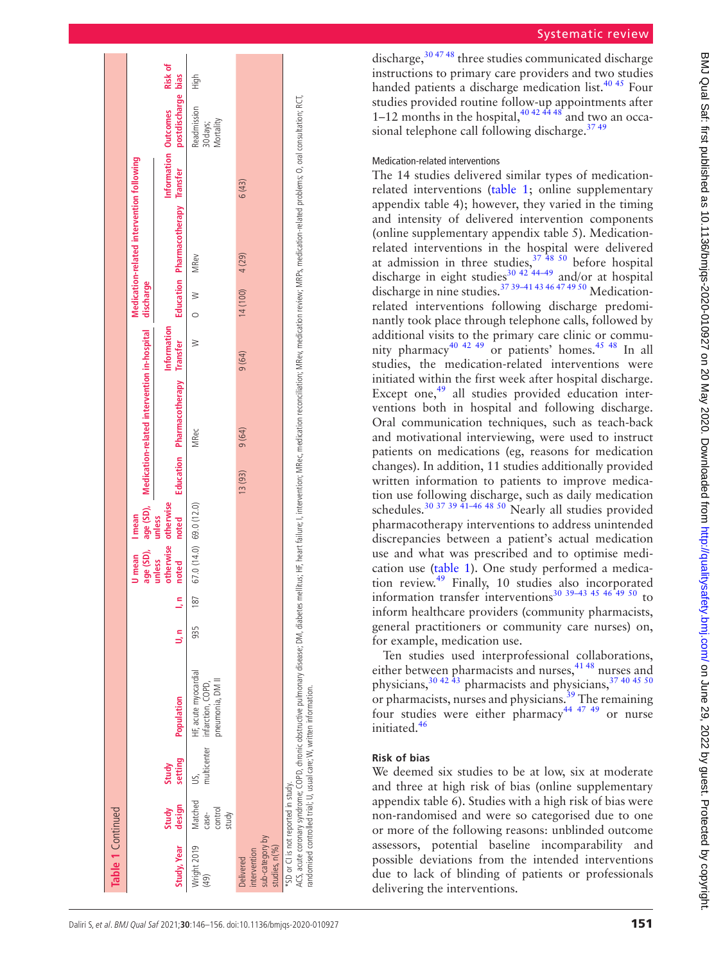| Table 1 Continued                                             |                                      |                  |                                                                                                                                                                                                                                                                                                  |        |     |                              |                              |        |                                                                 |             |           |                                           |       |                                            |         |
|---------------------------------------------------------------|--------------------------------------|------------------|--------------------------------------------------------------------------------------------------------------------------------------------------------------------------------------------------------------------------------------------------------------------------------------------------|--------|-----|------------------------------|------------------------------|--------|-----------------------------------------------------------------|-------------|-----------|-------------------------------------------|-------|--------------------------------------------|---------|
|                                                               |                                      |                  |                                                                                                                                                                                                                                                                                                  |        |     | <b>U</b> mean                | I mean                       |        | age (SD), age (SD), Medication-related intervention in-hospital |             | discharge | Medication-related intervention following |       |                                            |         |
| Study, Year                                                   | Study<br>design                      | setting<br>Study | Population                                                                                                                                                                                                                                                                                       | 5<br>5 | 5h  | otherwise<br>unless<br>noted | otherwise<br>unless<br>noted |        | Education Pharmacotherapy Transfer                              | Information |           | Education Pharmacotherapy Transfer        |       | postdischarge bias<br>Information Outcomes | Risk of |
| Wright 2019<br>(49)                                           | Matched<br>control<br>study<br>case- |                  | HF, acute myocardial<br>pneumonia, DM II<br>multicenter infarction, COPD,                                                                                                                                                                                                                        | 935    | 187 | 67.0 (14.0) 69.0 (12.0)      |                              |        | <b>MRec</b>                                                     | ≥           | $\geq$    | <b>MRev</b>                               |       | Readmission<br>Mortality<br>30 days;       | High    |
| sub-category by<br>studies, n(%)<br>intervention<br>Delivered |                                      |                  |                                                                                                                                                                                                                                                                                                  |        |     |                              |                              | 13(93) | 9(64)                                                           | 9(64)       | 14(100)   | 4 (29)                                    | 6(43) |                                            |         |
| *SD or CI is not reported in study.                           |                                      |                  | ACS, acute coronary syndrome; COPD, chronic obstructive pulmonary disease; DM, diabetes mellitus; HF, heart failure; I, intervention; MRec, medication redication; edication-related problems; O, oral consultation; RCT,<br>randomised controlled trial; U, usual care; W, written information. |        |     |                              |                              |        |                                                                 |             |           |                                           |       |                                            |         |

discharge, $304748$  three studies communicated discharge instructions to primary care providers and two studies handed patients a discharge medication list.<sup>40 45</sup> Four studies provided routine follow-up appointments after 1–12 months in the hospital,  $40\frac{424448}{1}$  and two an occasional telephone call following discharge.<sup>37</sup><sup>49</sup>

## Medication-related interventions

The 14 studies delivered similar types of medicationrelated interventions ([table](#page-4-0) 1; [online supplementary](https://dx.doi.org/10.1136/bmjqs-2020-010927) [appendix table 4](https://dx.doi.org/10.1136/bmjqs-2020-010927)); however, they varied in the timing and intensity of delivered intervention components ([online supplementary appendix table 5\)](https://dx.doi.org/10.1136/bmjqs-2020-010927). Medicationrelated interventions in the hospital were delivered at admission in three studies,  $37\frac{48}{50}$  before hospital discharge in eight studies<sup>[30 42 44–49](#page-10-3)</sup> and/or at hospital discharge in nine studies.<sup>37 39–41 43 46 47 49 50</sup> Medicationrelated interventions following discharge predominantly took place through telephone calls, followed by additional visits to the primary care clinic or commu nity pharmacy<sup>40 42 49</sup> or patients' homes.<sup>45 48</sup> In all studies, the medication-related interventions were initiated within the first week after hospital discharge. Except one,<sup>[49](#page-10-9)</sup> all studies provided education interventions both in hospital and following discharge. Oral communication techniques, such as teach-back and motivational interviewing, were used to instruct patients on medications (eg, reasons for medication changes). In addition, 11 studies additionally provided written information to patients to improve medica tion use following discharge, such as daily medication schedules.<sup>30 37 39 41–46 48 50</sup> Nearly all studies provided pharmacotherapy interventions to address unintended discrepancies between a patient's actual medication use and what was prescribed and to optimise medi cation use ([table](#page-4-0) 1). One study performed a medication review.[49](#page-10-9) Finally, 10 studies also incorporated information transfer interventions<sup>30 39–43</sup> <sup>45</sup> <sup>46</sup><sup> $49$ </sup> <sup>50</sup> to inform healthcare providers (community pharmacists, general practitioners or community care nurses) on, for example, medication use.

Ten studies used interprofessional collaborations, either between pharmacists and nurses,<sup>[41 48](#page-10-12)</sup> nurses and physicians,  $30\frac{42\frac{1}{43}}{9}$  pharmacists and physicians,  $37\frac{40\frac{45}{50}}{9}$ or pharmacists, nurses and physicians.<sup>[39](#page-10-11)</sup> The remaining four studies were either pharmacy<sup>[44 47 49](#page-10-16)</sup> or nurse initiated.[46](#page-10-13)

# **Risk of bias**

We deemed six studies to be at low, six at moderate and three at high risk of bias [\(online supplementary](https://dx.doi.org/10.1136/bmjqs-2020-010927) [appendix table 6\)](https://dx.doi.org/10.1136/bmjqs-2020-010927). Studies with a high risk of bias were non-randomised and were so categorised due to one or more of the following reasons: unblinded outcome assessors, potential baseline incomparability and possible deviations from the intended interventions due to lack of blinding of patients or professionals delivering the interventions.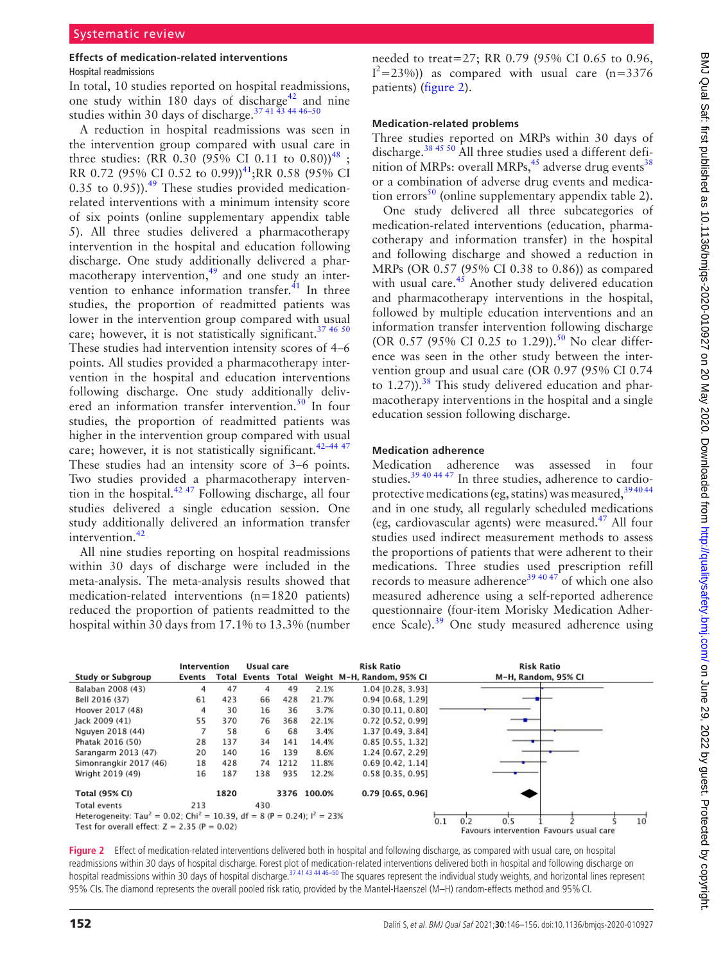## **Effects of medication-related interventions**

#### Hospital readmissions

In total, 10 studies reported on hospital readmissions, one study within 180 days of discharge<sup>42</sup> and nine studies within 30 days of discharge.<sup>37 41 43</sup> 44 46-50

A reduction in hospital readmissions was seen in the intervention group compared with usual care in three studies: (RR 0.30 (95% CI 0.11 to 0.80))<sup>[48](#page-10-18)</sup>; RR 0.72 (95% CI 0.52 to 0.99))<sup>[41](#page-10-12)</sup>; RR 0.58 (95% CI 0.35 to 0.95)). $^{49}$  $^{49}$  $^{49}$  These studies provided medicationrelated interventions with a minimum intensity score of six points [\(online supplementary appendix table](https://dx.doi.org/10.1136/bmjqs-2020-010927)  [5\)](https://dx.doi.org/10.1136/bmjqs-2020-010927). All three studies delivered a pharmacotherapy intervention in the hospital and education following discharge. One study additionally delivered a pharmacotherapy intervention, $49$  and one study an intervention to enhance information transfer. $^{41}$  In three studies, the proportion of readmitted patients was lower in the intervention group compared with usual care; however, it is not statistically significant.<sup>37 46 50</sup> These studies had intervention intensity scores of 4–6 points. All studies provided a pharmacotherapy intervention in the hospital and education interventions following discharge. One study additionally delivered an information transfer intervention.<sup>50</sup> In four studies, the proportion of readmitted patients was higher in the intervention group compared with usual care; however, it is not statistically significant.<sup>42-44 47</sup> These studies had an intensity score of 3–6 points. Two studies provided a pharmacotherapy intervention in the hospital. $42\frac{47}{2}$  Following discharge, all four studies delivered a single education session. One study additionally delivered an information transfer intervention.<sup>[42](#page-10-17)</sup>

All nine studies reporting on hospital readmissions within 30 days of discharge were included in the meta-analysis. The meta-analysis results showed that medication-related interventions (n=1820 patients) reduced the proportion of patients readmitted to the hospital within 30 days from 17.1% to 13.3% (number

needed to treat=27; RR 0.79 (95% CI 0.65 to 0.96,  $I^2$ =23%)) as compared with usual care (n=3376 patients) ([figure](#page-6-0) 2).

#### **Medication-related problems**

Three studies reported on MRPs within 30 days of discharge.[38 45 50](#page-10-10) All three studies used a different definition of MRPs: overall MRPs,  $45$  adverse drug events<sup>[38](#page-10-10)</sup> or a combination of adverse drug events and medica-tion errors<sup>[50](#page-10-19)</sup> ([online supplementary appendix table 2](https://dx.doi.org/10.1136/bmjqs-2020-010927)).

One study delivered all three subcategories of medication-related interventions (education, pharmacotherapy and information transfer) in the hospital and following discharge and showed a reduction in MRPs (OR 0.57 (95% CI 0.38 to 0.86)) as compared with usual care.<sup>45</sup> Another study delivered education and pharmacotherapy interventions in the hospital, followed by multiple education interventions and an information transfer intervention following discharge (OR 0.57 (95% CI 0.25 to 1.29)).<sup>[50](#page-10-19)</sup> No clear difference was seen in the other study between the intervention group and usual care (OR 0.97 (95% CI 0.74 to  $1.27$ )).<sup>[38](#page-10-10)</sup> This study delivered education and pharmacotherapy interventions in the hospital and a single education session following discharge.

## **Medication adherence**

Medication adherence was assessed in four studies.[39 40 44 47](#page-10-11) In three studies, adherence to cardioprotective medications (eg, statins) was measured, 394044 and in one study, all regularly scheduled medications (eg, cardiovascular agents) were measured. $47$  All four studies used indirect measurement methods to assess the proportions of patients that were adherent to their medications. Three studies used prescription refill records to measure adherence<sup>[39 40 47](#page-10-11)</sup> of which one also measured adherence using a self-reported adherence questionnaire (four-item Morisky Medication Adherence Scale).<sup>39</sup> One study measured adherence using

|                                                                                                           | Intervention |      | Usual care |      |             | <b>Risk Ratio</b>                             | <b>Risk Ratio</b>                       |
|-----------------------------------------------------------------------------------------------------------|--------------|------|------------|------|-------------|-----------------------------------------------|-----------------------------------------|
| <b>Study or Subgroup</b>                                                                                  | Events       |      |            |      |             | Total Events Total Weight M-H, Random, 95% Cl | M-H, Random, 95% CI                     |
| Balaban 2008 (43)                                                                                         | 4            | 47   | 4          | 49   | 2.1%        | 1.04 [0.28, 3.93]                             |                                         |
| Bell 2016 (37)                                                                                            | 61           | 423  | 66         | 428  | 21.7%       | $0.94$ [0.68, 1.29]                           |                                         |
| Hoover 2017 (48)                                                                                          | 4            | 30   | 16         | 36   | 3.7%        | $0.30$ [0.11, 0.80]                           |                                         |
| Jack 2009 (41)                                                                                            | 55           | 370  | 76         | 368  | 22.1%       | 0.72 [0.52, 0.99]                             |                                         |
| Nguyen 2018 (44)                                                                                          |              | 58   | 6          | 68   | 3.4%        | 1.37 [0.49, 3.84]                             |                                         |
| Phatak 2016 (50)                                                                                          | 28           | 137  | 34         | 141  | 14.4%       | $0.85$ [0.55, 1.32]                           |                                         |
| Sarangarm 2013 (47)                                                                                       | 20           | 140  | 16         | 139  | 8.6%        | 1.24 [0.67, 2.29]                             |                                         |
| Simonrangkir 2017 (46)                                                                                    | 18           | 428  | 74         | 1212 | 11.8%       | $0.69$ [0.42, 1.14]                           |                                         |
| Wright 2019 (49)                                                                                          | 16           | 187  | 138        | 935  | 12.2%       | 0.58 [0.35, 0.95]                             |                                         |
| <b>Total (95% CI)</b>                                                                                     |              | 1820 |            |      | 3376 100.0% | $0.79$ [0.65, 0.96]                           |                                         |
| <b>Total events</b>                                                                                       | 213          |      | 430        |      |             |                                               |                                         |
| Heterogeneity: Tau <sup>2</sup> = 0.02; Chi <sup>2</sup> = 10.39, df = 8 (P = 0.24); l <sup>2</sup> = 23% |              |      |            |      |             |                                               | 0.1<br>1(<br>0.5<br>0.2                 |
| Test for overall effect: $Z = 2.35$ (P = 0.02)                                                            |              |      |            |      |             |                                               | Favours intervention Favours usual care |

<span id="page-6-0"></span>Figure 2 Effect of medication-related interventions delivered both in hospital and following discharge, as compared with usual care, on hospital readmissions within 30 days of hospital discharge. Forest plot of medication-related interventions delivered both in hospital and following discharge on hospital readmissions within 30 days of hospital discharge.<sup>[37 41 43 44 46–50](#page-10-6)</sup> The squares represent the individual study weights, and horizontal lines represent 95% CIs. The diamond represents the overall pooled risk ratio, provided by the Mantel-Haenszel (M–H) random-effects method and 95%CI.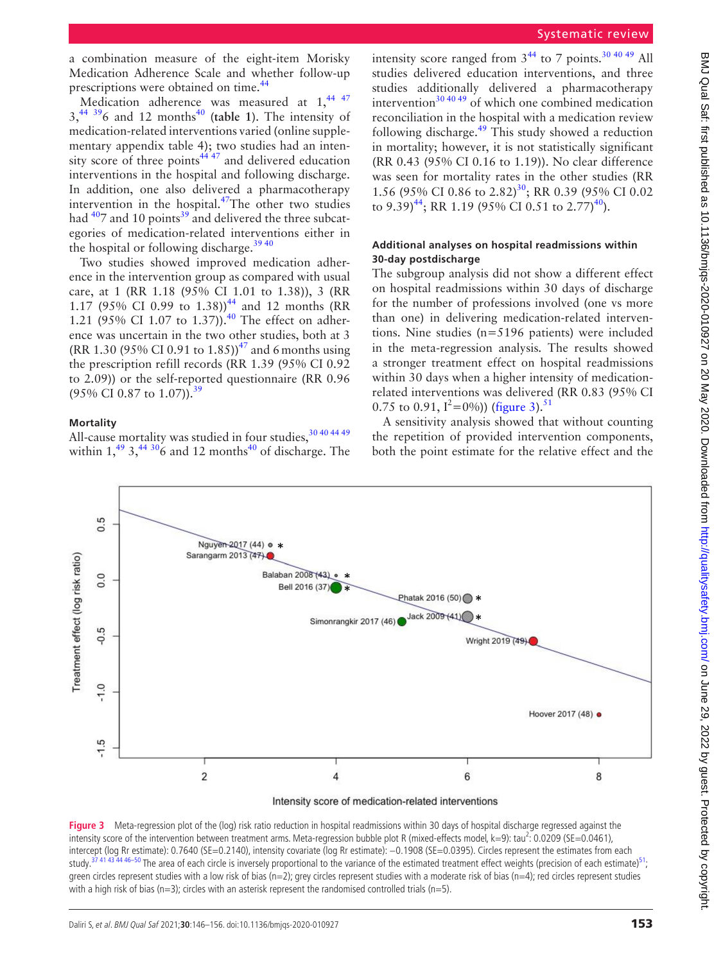a combination measure of the eight-item Morisky Medication Adherence Scale and whether follow-up prescriptions were obtained on time.<sup>44</sup>

Medication adherence was measured at  $1,^{44}$ ,  $47$  $3,44$  $3,44$  3<sup>9</sup><sub>6</sub> and 12 months<sup>40</sup> ([table](#page-4-0) 1). The intensity of medication-related interventions varied ([online supple](https://dx.doi.org/10.1136/bmjqs-2020-010927)[mentary appendix table 4](https://dx.doi.org/10.1136/bmjqs-2020-010927)); two studies had an intensity score of three points $4447$  and delivered education interventions in the hospital and following discharge. In addition, one also delivered a pharmacotherapy intervention in the hospital.<sup>[47](#page-10-8)</sup>The other two studies had  $407$  and 10 points<sup>39</sup> and delivered the three subcategories of medication-related interventions either in the hospital or following discharge.<sup>3940</sup>

Two studies showed improved medication adherence in the intervention group as compared with usual care, at 1 (RR 1.18 (95% CI 1.01 to 1.38)), 3 (RR 1.17 (95% CI 0.99 to 1.38))<sup>44</sup> and 12 months (RR 1.21 (95% CI 1.07 to 1.37)).<sup>[40](#page-10-15)</sup> The effect on adherence was uncertain in the two other studies, both at 3 (RR 1.30 (95% CI 0.91 to 1.85))<sup>[47](#page-10-8)</sup> and 6 months using the prescription refill records (RR 1.39 (95% CI 0.92 to 2.09)) or the self-reported questionnaire (RR 0.96  $(95\% \text{ CI } 0.87 \text{ to } 1.07)$ ).<sup>[39](#page-10-11)</sup>

#### **Mortality**

All-cause mortality was studied in four studies, 30 40 44 49 within  $1,^{49}$  3,  $^{44}$  [306](#page-10-3) and 12 months<sup>40</sup> of discharge. The

intensity score ranged from  $3^{44}$  $3^{44}$  $3^{44}$  to 7 points.<sup>30 40 49</sup> All studies delivered education interventions, and three studies additionally delivered a pharmacotherapy intervention $304049$  of which one combined medication reconciliation in the hospital with a medication review following discharge.<sup>[49](#page-10-9)</sup> This study showed a reduction in mortality; however, it is not statistically significant (RR 0.43 (95% CI 0.16 to 1.19)). No clear difference was seen for mortality rates in the other studies (RR 1.56 (95% CI 0.86 to 2.82)<sup>[30](#page-10-3)</sup>; RR 0.39 (95% CI 0.02 to 9.39)<sup>[44](#page-10-16)</sup>; RR 1.19 (95% CI 0.51 to 2.77)<sup>[40](#page-10-15)</sup>).

## **Additional analyses on hospital readmissions within 30-day postdischarge**

The subgroup analysis did not show a different effect on hospital readmissions within 30 days of discharge for the number of professions involved (one vs more than one) in delivering medication-related interventions. Nine studies (n=5196 patients) were included in the meta-regression analysis. The results showed a stronger treatment effect on hospital readmissions within 30 days when a higher intensity of medicationrelated interventions was delivered (RR 0.83 (95% CI 0.75 to 0.91,  $I^2=0\%$ ) [\(figure](#page-7-0) 3).<sup>[51](#page-10-20)</sup>

A sensitivity analysis showed that without counting the repetition of provided intervention components, both the point estimate for the relative effect and the



Intensity score of medication-related interventions

<span id="page-7-0"></span>Figure 3 Meta-regression plot of the (log) risk ratio reduction in hospital readmissions within 30 days of hospital discharge regressed against the intensity score of the intervention between treatment arms. Meta-regression bubble plot R (mixed-effects model,  $k=9$ ): tau<sup>2</sup>: 0.0209 (SE=0.0461), intercept (log Rr estimate): 0.7640 (SE=0.2140), intensity covariate (log Rr estimate): −0.1908 (SE=0.0395). Circles represent the estimates from each study.<sup>37</sup>41 43<sup>7</sup>44 46–50 The area of each circle is inversely proportional to the variance of the estimated treatment effect weights (precision of each estimate)<sup>[51](#page-10-20)</sup>; green circles represent studies with a low risk of bias (n=2); grey circles represent studies with a moderate risk of bias (n=4); red circles represent studies with a high risk of bias ( $n=3$ ); circles with an asterisk represent the randomised controlled trials ( $n=5$ ).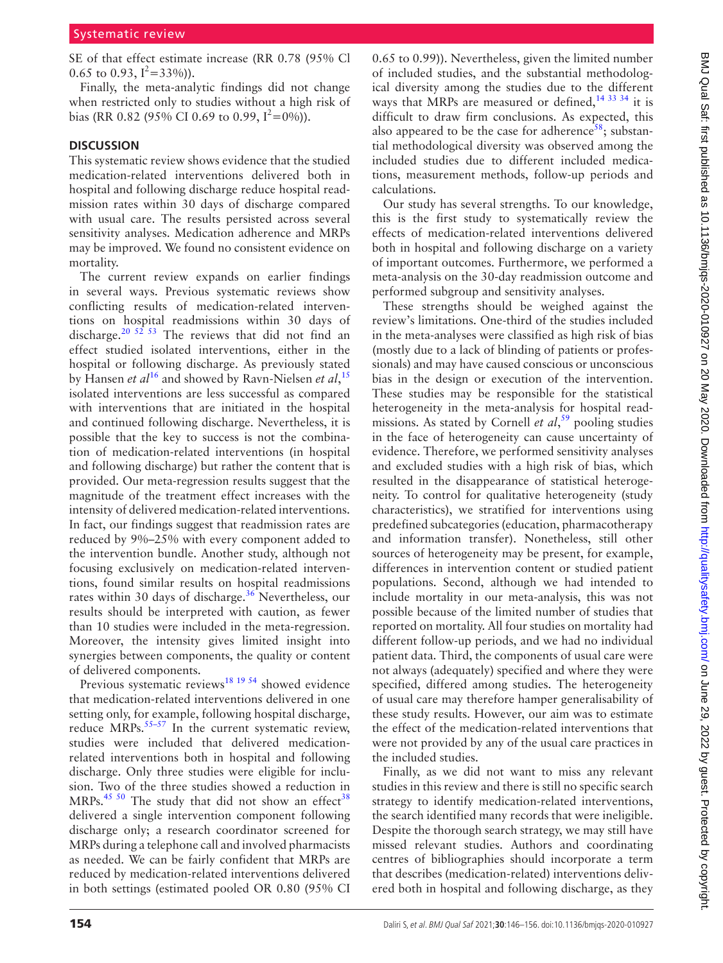SE of that effect estimate increase (RR 0.78 (95% Cl 0.65 to 0.93,  $I^2 = 33\%$ ).

Finally, the meta-analytic findings did not change when restricted only to studies without a high risk of bias (RR 0.82 (95% CI 0.69 to 0.99,  $I^2 = 0\%$ )).

## **Discussion**

This systematic review shows evidence that the studied medication-related interventions delivered both in hospital and following discharge reduce hospital readmission rates within 30 days of discharge compared with usual care. The results persisted across several sensitivity analyses. Medication adherence and MRPs may be improved. We found no consistent evidence on mortality.

The current review expands on earlier findings in several ways. Previous systematic reviews show conflicting results of medication-related interventions on hospital readmissions within 30 days of discharge.<sup>[20 52 53](#page-9-9)</sup> The reviews that did not find an effect studied isolated interventions, either in the hospital or following discharge. As previously stated by Hansen *et al*[16](#page-9-10) and showed by Ravn-Nielsen *et al*, [15](#page-9-11) isolated interventions are less successful as compared with interventions that are initiated in the hospital and continued following discharge. Nevertheless, it is possible that the key to success is not the combination of medication-related interventions (in hospital and following discharge) but rather the content that is provided. Our meta-regression results suggest that the magnitude of the treatment effect increases with the intensity of delivered medication-related interventions. In fact, our findings suggest that readmission rates are reduced by 9%–25% with every component added to the intervention bundle. Another study, although not focusing exclusively on medication-related interventions, found similar results on hospital readmissions rates within 30 days of discharge.<sup>[36](#page-10-5)</sup> Nevertheless, our results should be interpreted with caution, as fewer than 10 studies were included in the meta-regression. Moreover, the intensity gives limited insight into synergies between components, the quality or content of delivered components.

Previous systematic reviews<sup>18</sup> 19<sup>54</sup> showed evidence that medication-related interventions delivered in one setting only, for example, following hospital discharge, reduce  $MRPs$ <sup>[55–57](#page-10-21)</sup> In the current systematic review, studies were included that delivered medicationrelated interventions both in hospital and following discharge. Only three studies were eligible for inclusion. Two of the three studies showed a reduction in MRPs. $45\,50$  The study that did not show an effect<sup>38</sup> delivered a single intervention component following discharge only; a research coordinator screened for MRPs during a telephone call and involved pharmacists as needed. We can be fairly confident that MRPs are reduced by medication-related interventions delivered in both settings (estimated pooled OR 0.80 (95% CI

0.65 to 0.99)). Nevertheless, given the limited number of included studies, and the substantial methodological diversity among the studies due to the different ways that MRPs are measured or defined,<sup>14 33 34</sup> it is difficult to draw firm conclusions. As expected, this also appeared to be the case for adherence<sup>58</sup>; substantial methodological diversity was observed among the included studies due to different included medications, measurement methods, follow-up periods and calculations.

Our study has several strengths. To our knowledge, this is the first study to systematically review the effects of medication-related interventions delivered both in hospital and following discharge on a variety of important outcomes. Furthermore, we performed a meta-analysis on the 30-day readmission outcome and performed subgroup and sensitivity analyses.

These strengths should be weighed against the review's limitations. One-third of the studies included in the meta-analyses were classified as high risk of bias (mostly due to a lack of blinding of patients or professionals) and may have caused conscious or unconscious bias in the design or execution of the intervention. These studies may be responsible for the statistical heterogeneity in the meta-analysis for hospital readmissions. As stated by Cornell *et al*, [59](#page-10-23) pooling studies in the face of heterogeneity can cause uncertainty of evidence. Therefore, we performed sensitivity analyses and excluded studies with a high risk of bias, which resulted in the disappearance of statistical heterogeneity. To control for qualitative heterogeneity (study characteristics), we stratified for interventions using predefined subcategories (education, pharmacotherapy and information transfer). Nonetheless, still other sources of heterogeneity may be present, for example, differences in intervention content or studied patient populations. Second, although we had intended to include mortality in our meta-analysis, this was not possible because of the limited number of studies that reported on mortality. All four studies on mortality had different follow-up periods, and we had no individual patient data. Third, the components of usual care were not always (adequately) specified and where they were specified, differed among studies. The heterogeneity of usual care may therefore hamper generalisability of these study results. However, our aim was to estimate the effect of the medication-related interventions that were not provided by any of the usual care practices in the included studies.

Finally, as we did not want to miss any relevant studies in this review and there is still no specific search strategy to identify medication-related interventions, the search identified many records that were ineligible. Despite the thorough search strategy, we may still have missed relevant studies. Authors and coordinating centres of bibliographies should incorporate a term that describes (medication-related) interventions delivered both in hospital and following discharge, as they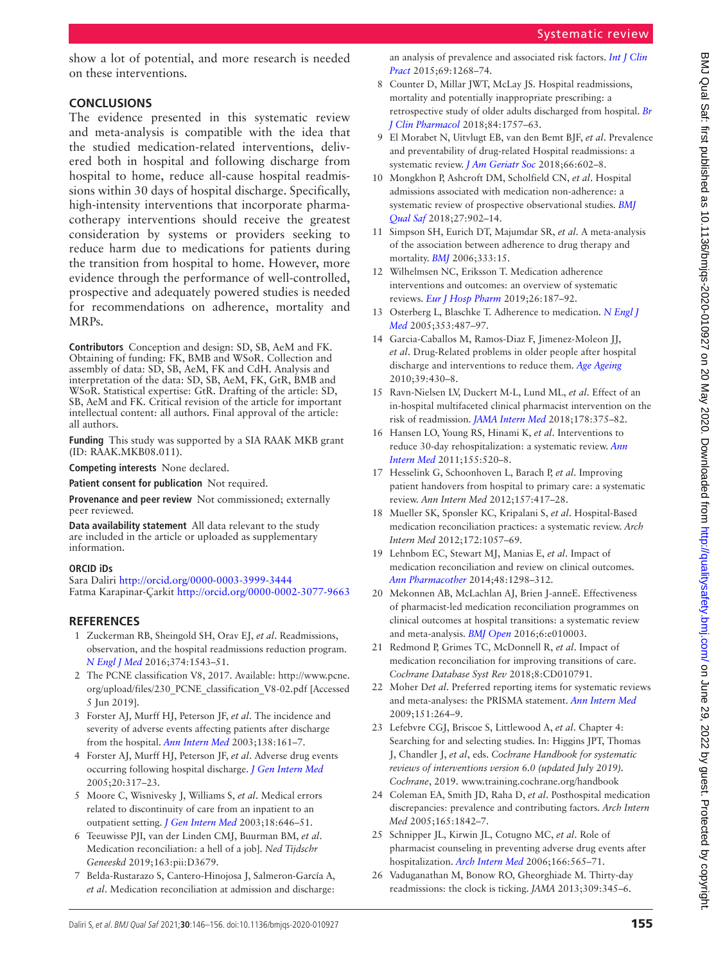show a lot of potential, and more research is needed on these interventions.

## **Conclusions**

The evidence presented in this systematic review and meta-analysis is compatible with the idea that the studied medication-related interventions, delivered both in hospital and following discharge from hospital to home, reduce all-cause hospital readmissions within 30 days of hospital discharge. Specifically, high-intensity interventions that incorporate pharmacotherapy interventions should receive the greatest consideration by systems or providers seeking to reduce harm due to medications for patients during the transition from hospital to home. However, more evidence through the performance of well-controlled, prospective and adequately powered studies is needed for recommendations on adherence, mortality and MRPs.

**Contributors** Conception and design: SD, SB, AeM and FK. Obtaining of funding: FK, BMB and WSoR. Collection and assembly of data: SD, SB, AeM, FK and CdH. Analysis and interpretation of the data: SD, SB, AeM, FK, GtR, BMB and WSoR. Statistical expertise: GtR. Drafting of the article: SD, SB, AeM and FK. Critical revision of the article for important intellectual content: all authors. Final approval of the article: all authors.

**Funding** This study was supported by a SIA RAAK MKB grant (ID: RAAK.MKB08.011).

**Competing interests** None declared.

**Patient consent for publication** Not required.

**Provenance and peer review** Not commissioned; externally peer reviewed.

**Data availability statement** All data relevant to the study are included in the article or uploaded as supplementary information.

## **ORCID iDs**

Sara Daliri<http://orcid.org/0000-0003-3999-3444> Fatma Karapinar-Çarkit <http://orcid.org/0000-0002-3077-9663>

## **References**

- <span id="page-9-0"></span>1 Zuckerman RB, Sheingold SH, Orav EJ, *et al*. Readmissions, observation, and the hospital readmissions reduction program. *[N Engl J Med](http://dx.doi.org/10.1056/NEJMsa1513024)* 2016;374:1543–51.
- <span id="page-9-1"></span>2 The PCNE classification V8, 2017. Available: [http://www.pcne.](http://www.pcne.org/upload/files/230_PCNE_classification_V8-02.pdf) [org/upload/files/230\\_PCNE\\_classification\\_V8-02.pdf](http://www.pcne.org/upload/files/230_PCNE_classification_V8-02.pdf) [Accessed 5 Jun 2019].
- 3 Forster AJ, Murff HJ, Peterson JF, *et al*. The incidence and severity of adverse events affecting patients after discharge from the hospital. *[Ann Intern Med](http://dx.doi.org/10.7326/0003-4819-138-3-200302040-00007)* 2003;138:161–7.
- <span id="page-9-8"></span>4 Forster AJ, Murff HJ, Peterson JF, *et al*. Adverse drug events occurring following hospital discharge. *[J Gen Intern Med](http://dx.doi.org/10.1111/j.1525-1497.2005.30390.x)* 2005;20:317–23.
- 5 Moore C, Wisnivesky J, Williams S, *et al*. Medical errors related to discontinuity of care from an inpatient to an outpatient setting. *[J Gen Intern Med](http://dx.doi.org/10.1046/j.1525-1497.2003.20722.x)* 2003;18:646–51.
- <span id="page-9-2"></span>6 Teeuwisse PJI, van der Linden CMJ, Buurman BM, *et al*. Medication reconciliation: a hell of a job]. *Ned Tijdschr Geneeskd* 2019;163:pii:D3679.
- 7 Belda-Rustarazo S, Cantero-Hinojosa J, Salmeron-García A, *et al*. Medication reconciliation at admission and discharge:

an analysis of prevalence and associated risk factors. *[Int J Clin](http://dx.doi.org/10.1111/ijcp.12701)  [Pract](http://dx.doi.org/10.1111/ijcp.12701)* 2015;69:1268–74.

- 8 Counter D, Millar JWT, McLay JS. Hospital readmissions, mortality and potentially inappropriate prescribing: a retrospective study of older adults discharged from hospital. *[Br](http://dx.doi.org/10.1111/bcp.13607)  [J Clin Pharmacol](http://dx.doi.org/10.1111/bcp.13607)* 2018;84:1757–63.
- 9 El Morabet N, Uitvlugt EB, van den Bemt BJF, *et al*. Prevalence and preventability of drug-related Hospital readmissions: a systematic review. *[J Am Geriatr Soc](http://dx.doi.org/10.1111/jgs.15244)* 2018;66:602–8.
- <span id="page-9-3"></span>10 Mongkhon P, Ashcroft DM, Scholfield CN, *et al*. Hospital admissions associated with medication non-adherence: a systematic review of prospective observational studies. *[BMJ](http://dx.doi.org/10.1136/bmjqs-2017-007453)  [Qual Saf](http://dx.doi.org/10.1136/bmjqs-2017-007453)* 2018;27:902–14.
- 11 Simpson SH, Eurich DT, Majumdar SR, *et al*. A meta-analysis of the association between adherence to drug therapy and mortality. *[BMJ](http://dx.doi.org/10.1136/bmj.38875.675486.55)* 2006;333:15.
- 12 Wilhelmsen NC, Eriksson T. Medication adherence interventions and outcomes: an overview of systematic reviews. *[Eur J Hosp Pharm](http://dx.doi.org/10.1136/ejhpharm-2018-001725)* 2019;26:187–92.
- <span id="page-9-4"></span>13 Osterberg L, Blaschke T. Adherence to medication. *[N Engl J](http://dx.doi.org/10.1056/NEJMra050100)  [Med](http://dx.doi.org/10.1056/NEJMra050100)* 2005;353:487–97.
- <span id="page-9-5"></span>14 Garcia-Caballos M, Ramos-Diaz F, Jimenez-Moleon JJ, *et al*. Drug-Related problems in older people after hospital discharge and interventions to reduce them. *[Age Ageing](http://dx.doi.org/10.1093/ageing/afq045)* 2010;39:430–8.
- <span id="page-9-11"></span>15 Ravn-Nielsen LV, Duckert M-L, Lund ML, *et al*. Effect of an in-hospital multifaceted clinical pharmacist intervention on the risk of readmission. *[JAMA Intern Med](http://dx.doi.org/10.1001/jamainternmed.2017.8274)* 2018;178:375–82.
- <span id="page-9-10"></span>16 Hansen LO, Young RS, Hinami K, *et al*. Interventions to reduce 30-day rehospitalization: a systematic review. *[Ann](http://dx.doi.org/10.7326/0003-4819-155-8-201110180-00008)  [Intern Med](http://dx.doi.org/10.7326/0003-4819-155-8-201110180-00008)* 2011;155:520–8.
- 17 Hesselink G, Schoonhoven L, Barach P, *et al*. Improving patient handovers from hospital to primary care: a systematic review. *Ann Intern Med* 2012;157:417–28.
- <span id="page-9-12"></span>18 Mueller SK, Sponsler KC, Kripalani S, *et al*. Hospital-Based medication reconciliation practices: a systematic review. *Arch Intern Med* 2012;172:1057–69.
- 19 Lehnbom EC, Stewart MJ, Manias E, *et al*. Impact of medication reconciliation and review on clinical outcomes. *[Ann Pharmacother](http://dx.doi.org/10.1177/1060028014543485)* 2014;48:1298–312.
- <span id="page-9-9"></span>20 Mekonnen AB, McLachlan AJ, Brien J-anneE. Effectiveness of pharmacist-led medication reconciliation programmes on clinical outcomes at hospital transitions: a systematic review and meta-analysis. *[BMJ Open](http://dx.doi.org/10.1136/bmjopen-2015-010003)* 2016;6:e010003.
- 21 Redmond P, Grimes TC, McDonnell R, *et al*. Impact of medication reconciliation for improving transitions of care. *Cochrane Database Syst Rev* 2018;8:CD010791.
- <span id="page-9-6"></span>22 Moher D*et al*. Preferred reporting items for systematic reviews and meta-analyses: the PRISMA statement. *[Ann Intern Med](http://dx.doi.org/10.7326/0003-4819-151-4-200908180-00135)* 2009;151:264–9.
- <span id="page-9-7"></span>23 Lefebvre CGJ, Briscoe S, Littlewood A, *et al*. Chapter 4: Searching for and selecting studies. In: Higgins JPT, Thomas J, Chandler J, *et al*, eds. *Cochrane Handbook for systematic reviews of interventions version 6.0 (updated July 2019). Cochrane*, 2019.<www.training.cochrane.org/handbook>
- 24 Coleman EA, Smith JD, Raha D, *et al*. Posthospital medication discrepancies: prevalence and contributing factors. *Arch Intern Med* 2005;165:1842–7.
- 25 Schnipper JL, Kirwin JL, Cotugno MC, *et al*. Role of pharmacist counseling in preventing adverse drug events after hospitalization. *[Arch Intern Med](http://dx.doi.org/10.1001/archinte.166.5.565)* 2006;166:565–71.
- 26 Vaduganathan M, Bonow RO, Gheorghiade M. Thirty-day readmissions: the clock is ticking. *JAMA* 2013;309:345–6.